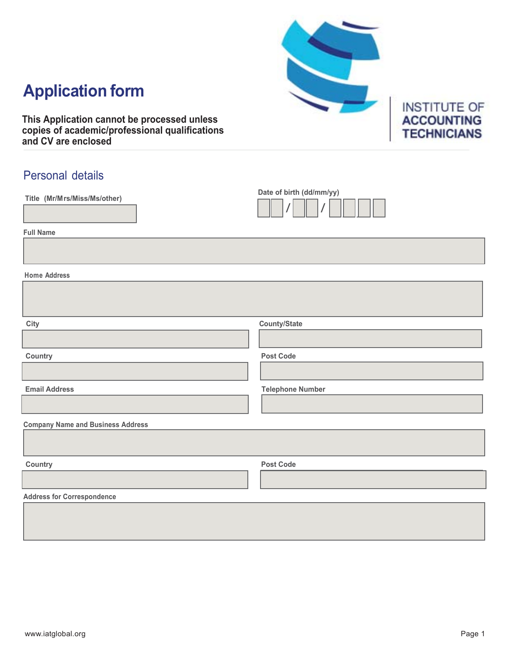# **Application form**

**This Application cannot be processed unless copies of academic/professional qualifications and CV are enclosed**

### Personal details

| Title (Mr/Mrs/Miss/Ms/other)             | Date of birth (dd/mm/yy) |
|------------------------------------------|--------------------------|
| <b>Full Name</b>                         |                          |
|                                          |                          |
| <b>Home Address</b>                      |                          |
|                                          |                          |
| City                                     | <b>County/State</b>      |
|                                          |                          |
| Country                                  | <b>Post Code</b>         |
|                                          |                          |
| <b>Email Address</b>                     | <b>Telephone Number</b>  |
|                                          |                          |
| <b>Company Name and Business Address</b> |                          |
|                                          |                          |
| Country                                  | <b>Post Code</b>         |
|                                          |                          |
| <b>Address for Correspondence</b>        |                          |
|                                          |                          |
|                                          |                          |

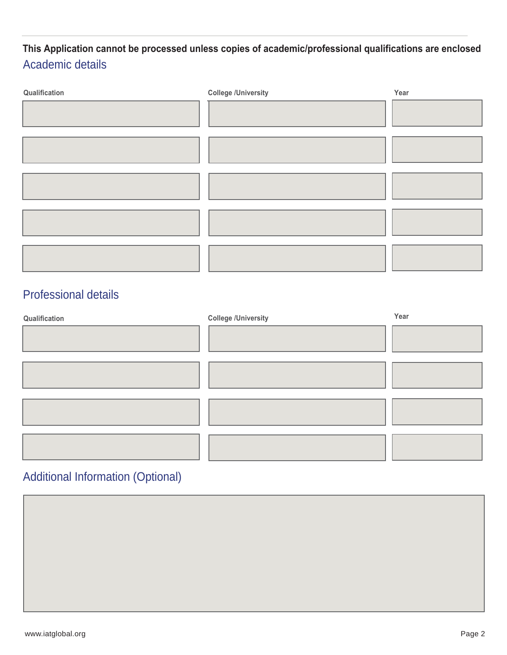### Academic details **This Application cannot be processed unless copies of academic/professional qualifications are enclosed**

| Qualification | <b>College /University</b> | Year |
|---------------|----------------------------|------|
|               |                            |      |
|               |                            |      |
|               |                            |      |
|               |                            |      |
|               |                            |      |

### Professional details

| Qualification | <b>College /University</b> | Year |
|---------------|----------------------------|------|
|               |                            |      |
|               |                            |      |
|               |                            |      |
|               |                            |      |
|               |                            |      |
|               |                            |      |
|               |                            |      |

### Additional Information (Optional)

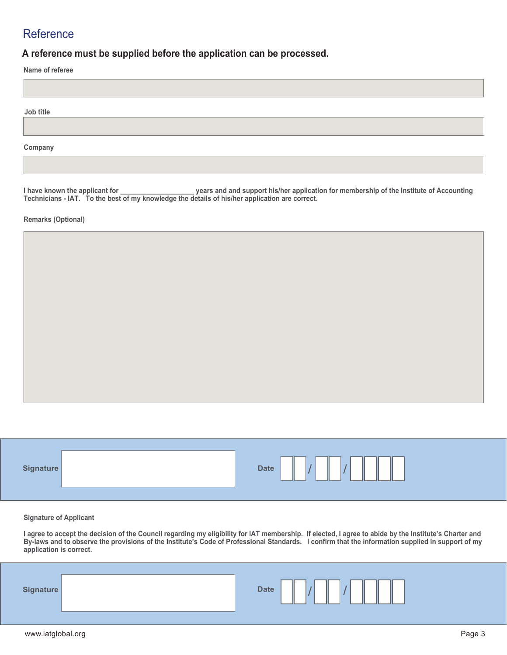#### **Reference**

**A reference must be supplied before the application can be processed.**

**Name of referee** 

**Job title** 

**Company**

I have known the applicant for \_\_\_\_\_\_\_\_\_\_\_\_\_\_\_\_\_\_\_\_\_\_years and and support his/her application for membership of the Institute of Accounting **Technicians - IAT. To the best of my knowledge the details of his/her application are correct.** 

**Remarks (Optional)**

| ____<br><b>Date</b> |
|---------------------|
|---------------------|

Ī

**Signature of Applicant**

**I agree to accept the decision of the Council regarding my eligibility for IAT membership. If elected, I agree to abide by the Institute's Charter and By-laws and to observe the provisions of the Institute's Code of Professional Standards. I confirm that the information supplied in support of my application is correct.**

|--|